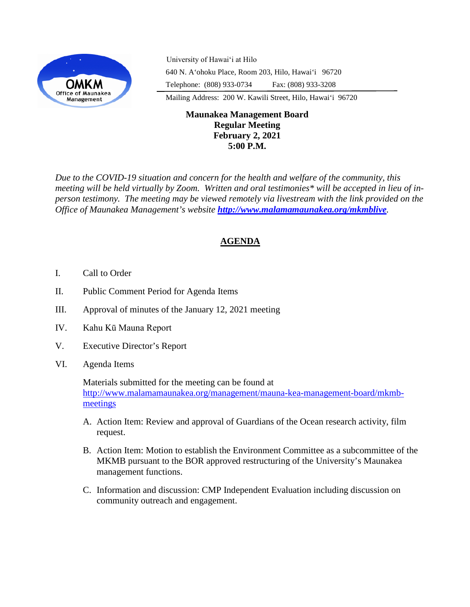

University of Hawaiʻi at Hilo 640 N. A'ohoku Place, Room 203, Hilo, Hawai'i 96720 Telephone: (808) 933-0734 Fax: (808) 933-3208

Mailing Address: 200 W. Kawili Street, Hilo, Hawai'i 96720

## **Maunakea Management Board Regular Meeting February 2, 2021 5:00 P.M.**

*Due to the COVID-19 situation and concern for the health and welfare of the community, this meeting will be held virtually by Zoom. Written and oral testimonies\* will be accepted in lieu of inperson testimony. The meeting may be viewed remotely via livestream with the link provided on the Office of Maunakea Management's website <http://www.malamamaunakea.org/mkmblive>.*

# **AGENDA**

- I. Call to Order
- II. Public Comment Period for Agenda Items
- III. Approval of minutes of the January 12, 2021 meeting
- IV. Kahu Kū Mauna Report
- V. Executive Director's Report
- VI. Agenda Items

Materials submitted for the meeting can be found at [http://www.malamamaunakea.org/management/mauna-kea-management-board/mkmb](http://www.malamamaunakea.org/management/mauna-kea-management-board/mkmb-meetings)[meetings](http://www.malamamaunakea.org/management/mauna-kea-management-board/mkmb-meetings)

- A. Action Item: Review and approval of Guardians of the Ocean research activity, film request.
- B. Action Item: Motion to establish the Environment Committee as a subcommittee of the MKMB pursuant to the BOR approved restructuring of the University's Maunakea management functions.
- C. Information and discussion: CMP Independent Evaluation including discussion on community outreach and engagement.